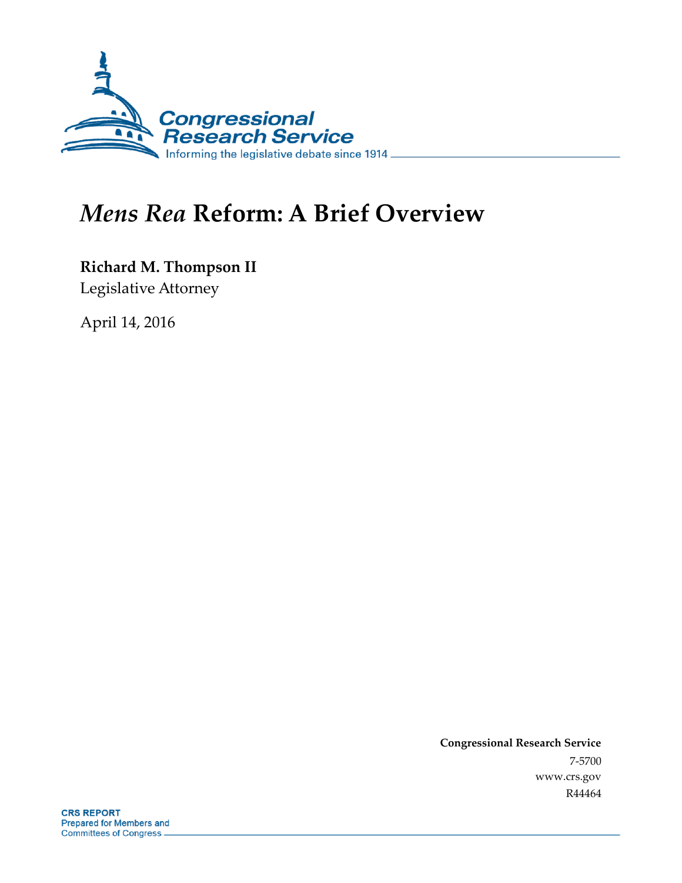

# *Mens Rea* **Reform: A Brief Overview**

**Richard M. Thompson II**

Legislative Attorney

April 14, 2016

**Congressional Research Service** 7-5700 www.crs.gov R44464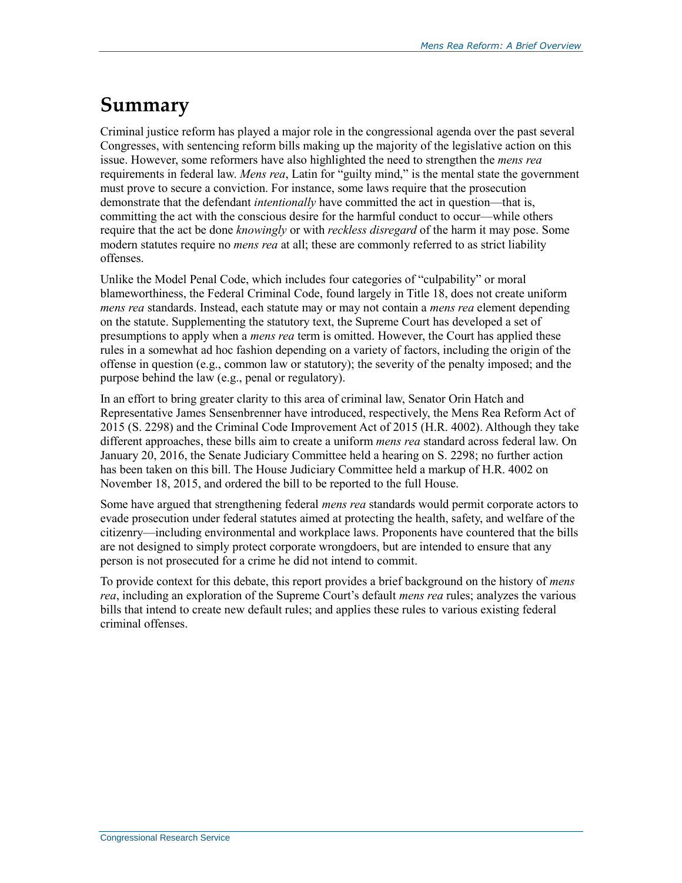## **Summary**

Criminal justice reform has played a major role in the congressional agenda over the past several Congresses, with sentencing reform bills making up the majority of the legislative action on this issue. However, some reformers have also highlighted the need to strengthen the *mens rea* requirements in federal law. *Mens rea*, Latin for "guilty mind," is the mental state the government must prove to secure a conviction. For instance, some laws require that the prosecution demonstrate that the defendant *intentionally* have committed the act in question—that is, committing the act with the conscious desire for the harmful conduct to occur—while others require that the act be done *knowingly* or with *reckless disregard* of the harm it may pose. Some modern statutes require no *mens rea* at all; these are commonly referred to as strict liability offenses.

Unlike the Model Penal Code, which includes four categories of "culpability" or moral blameworthiness, the Federal Criminal Code, found largely in Title 18, does not create uniform *mens rea* standards. Instead, each statute may or may not contain a *mens rea* element depending on the statute. Supplementing the statutory text, the Supreme Court has developed a set of presumptions to apply when a *mens rea* term is omitted. However, the Court has applied these rules in a somewhat ad hoc fashion depending on a variety of factors, including the origin of the offense in question (e.g., common law or statutory); the severity of the penalty imposed; and the purpose behind the law (e.g., penal or regulatory).

In an effort to bring greater clarity to this area of criminal law, Senator Orin Hatch and Representative James Sensenbrenner have introduced, respectively, the Mens Rea Reform Act of 2015 (S. 2298) and the Criminal Code Improvement Act of 2015 (H.R. 4002). Although they take different approaches, these bills aim to create a uniform *mens rea* standard across federal law. On January 20, 2016, the Senate Judiciary Committee held a hearing on S. 2298; no further action has been taken on this bill. The House Judiciary Committee held a markup of H.R. 4002 on November 18, 2015, and ordered the bill to be reported to the full House.

Some have argued that strengthening federal *mens rea* standards would permit corporate actors to evade prosecution under federal statutes aimed at protecting the health, safety, and welfare of the citizenry—including environmental and workplace laws. Proponents have countered that the bills are not designed to simply protect corporate wrongdoers, but are intended to ensure that any person is not prosecuted for a crime he did not intend to commit.

To provide context for this debate, this report provides a brief background on the history of *mens rea*, including an exploration of the Supreme Court's default *mens rea* rules; analyzes the various bills that intend to create new default rules; and applies these rules to various existing federal criminal offenses.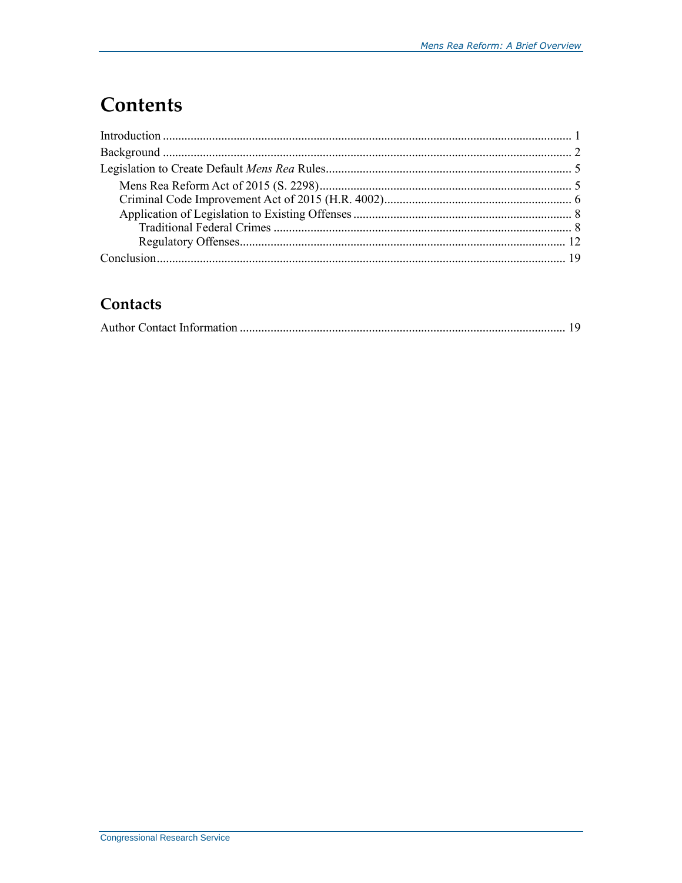# **Contents**

## Contacts

|--|--|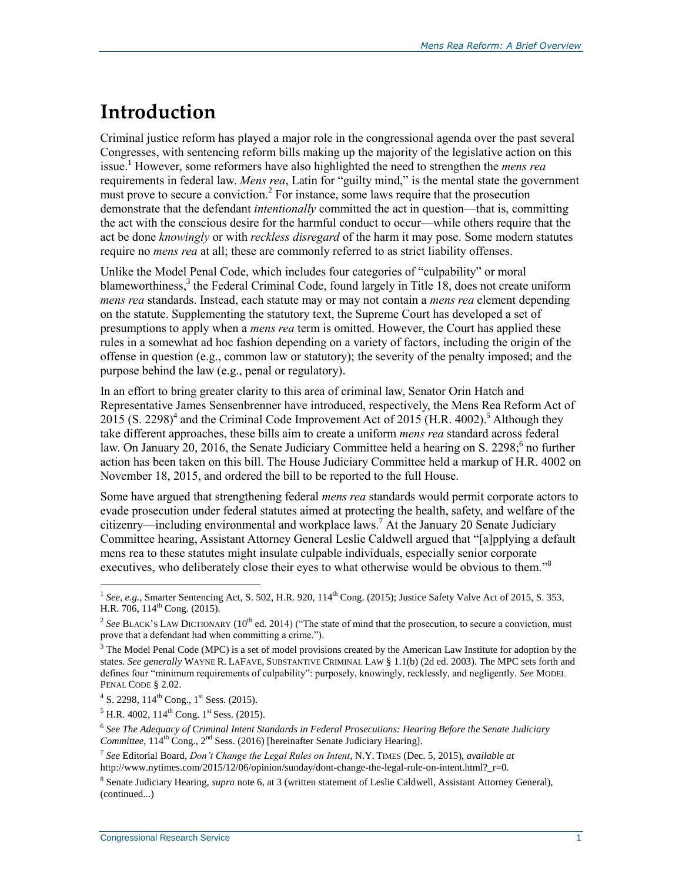# **Introduction**

Criminal justice reform has played a major role in the congressional agenda over the past several Congresses, with sentencing reform bills making up the majority of the legislative action on this issue.<sup>1</sup> However, some reformers have also highlighted the need to strengthen the *mens rea* requirements in federal law. *Mens rea*, Latin for "guilty mind," is the mental state the government must prove to secure a conviction.<sup>2</sup> For instance, some laws require that the prosecution demonstrate that the defendant *intentionally* committed the act in question—that is, committing the act with the conscious desire for the harmful conduct to occur—while others require that the act be done *knowingly* or with *reckless disregard* of the harm it may pose. Some modern statutes require no *mens rea* at all; these are commonly referred to as strict liability offenses.

Unlike the Model Penal Code, which includes four categories of "culpability" or moral blameworthiness, $3$  the Federal Criminal Code, found largely in Title 18, does not create uniform *mens rea* standards. Instead, each statute may or may not contain a *mens rea* element depending on the statute. Supplementing the statutory text, the Supreme Court has developed a set of presumptions to apply when a *mens rea* term is omitted. However, the Court has applied these rules in a somewhat ad hoc fashion depending on a variety of factors, including the origin of the offense in question (e.g., common law or statutory); the severity of the penalty imposed; and the purpose behind the law (e.g., penal or regulatory).

In an effort to bring greater clarity to this area of criminal law, Senator Orin Hatch and Representative James Sensenbrenner have introduced, respectively, the Mens Rea Reform Act of  $2015$  (S. 2298)<sup>4</sup> and the Criminal Code Improvement Act of 2015 (H.R. 4002).<sup>5</sup> Although they take different approaches, these bills aim to create a uniform *mens rea* standard across federal law. On January 20, 2016, the Senate Judiciary Committee held a hearing on S. 2298;<sup>6</sup> no further action has been taken on this bill. The House Judiciary Committee held a markup of H.R. 4002 on November 18, 2015, and ordered the bill to be reported to the full House.

Some have argued that strengthening federal *mens rea* standards would permit corporate actors to evade prosecution under federal statutes aimed at protecting the health, safety, and welfare of the citizenry—including environmental and workplace laws. <sup>7</sup> At the January 20 Senate Judiciary Committee hearing, Assistant Attorney General Leslie Caldwell argued that "[a]pplying a default mens rea to these statutes might insulate culpable individuals, especially senior corporate executives, who deliberately close their eyes to what otherwise would be obvious to them."<sup>8</sup>

<sup>&</sup>lt;sup>1</sup> See, e.g., Smarter Sentencing Act, S. 502, H.R. 920, 114<sup>th</sup> Cong. (2015); Justice Safety Valve Act of 2015, S. 353, H.R. 706,  $114^{th}$  Cong. (2015).

<sup>&</sup>lt;sup>2</sup> See BLACK'S LAW DICTIONARY ( $10^{th}$  ed. 2014) ("The state of mind that the prosecution, to secure a conviction, must prove that a defendant had when committing a crime.").

<sup>&</sup>lt;sup>3</sup> The Model Penal Code (MPC) is a set of model provisions created by the American Law Institute for adoption by the states. *See generally* WAYNE R. LAFAVE, SUBSTANTIVE CRIMINAL LAW § 1.1(b) (2d ed. 2003). The MPC sets forth and defines four "minimum requirements of culpability": purposely, knowingly, recklessly, and negligently. *See* MODEL PENAL CODE § 2.02.

<sup>&</sup>lt;sup>4</sup> S. 2298, 114<sup>th</sup> Cong., 1<sup>st</sup> Sess. (2015).

 $<sup>5</sup>$  H.R. 4002, 114<sup>th</sup> Cong. 1<sup>st</sup> Sess. (2015).</sup>

<sup>6</sup> *See The Adequacy of Criminal Intent Standards in Federal Prosecutions: Hearing Before the Senate Judiciary Committee*,  $114^{\text{th}}$  Cong.,  $2^{\text{nd}}$  Sess. (2016) [hereinafter Senate Judiciary Hearing].

<sup>7</sup> *See* Editorial Board, *Don't Change the Legal Rules on Intent*, N.Y. TIMES (Dec. 5, 2015), *available at* http://www.nytimes.com/2015/12/06/opinion/sunday/dont-change-the-legal-rule-on-intent.html?\_r=0.

<sup>8</sup> Senate Judiciary Hearing, *supra* note 6, at 3 (written statement of Leslie Caldwell, Assistant Attorney General), (continued...)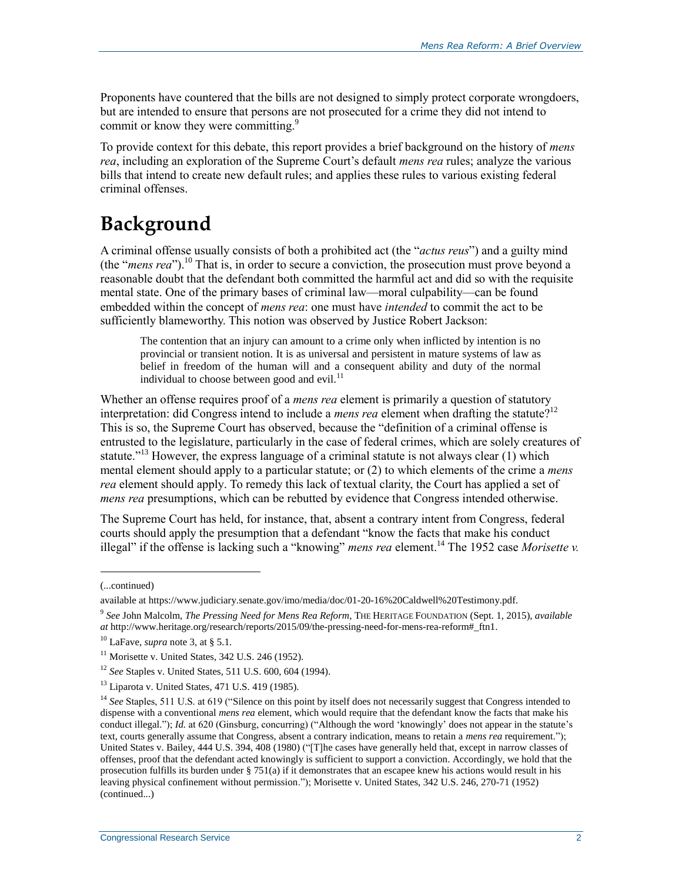Proponents have countered that the bills are not designed to simply protect corporate wrongdoers, but are intended to ensure that persons are not prosecuted for a crime they did not intend to commit or know they were committing.<sup>9</sup>

To provide context for this debate, this report provides a brief background on the history of *mens rea*, including an exploration of the Supreme Court's default *mens rea* rules; analyze the various bills that intend to create new default rules; and applies these rules to various existing federal criminal offenses.

# **Background**

A criminal offense usually consists of both a prohibited act (the "*actus reus*") and a guilty mind (the "*mens rea*").<sup>10</sup> That is, in order to secure a conviction, the prosecution must prove beyond a reasonable doubt that the defendant both committed the harmful act and did so with the requisite mental state. One of the primary bases of criminal law—moral culpability—can be found embedded within the concept of *mens rea*: one must have *intended* to commit the act to be sufficiently blameworthy. This notion was observed by Justice Robert Jackson:

The contention that an injury can amount to a crime only when inflicted by intention is no provincial or transient notion. It is as universal and persistent in mature systems of law as belief in freedom of the human will and a consequent ability and duty of the normal individual to choose between good and evil. $^{11}$ 

Whether an offense requires proof of a *mens rea* element is primarily a question of statutory interpretation: did Congress intend to include a *mens rea* element when drafting the statute?<sup>12</sup> This is so, the Supreme Court has observed, because the "definition of a criminal offense is entrusted to the legislature, particularly in the case of federal crimes, which are solely creatures of statute."<sup>13</sup> However, the express language of a criminal statute is not always clear  $(1)$  which mental element should apply to a particular statute; or (2) to which elements of the crime a *mens rea* element should apply. To remedy this lack of textual clarity, the Court has applied a set of *mens rea* presumptions, which can be rebutted by evidence that Congress intended otherwise.

The Supreme Court has held, for instance, that, absent a contrary intent from Congress, federal courts should apply the presumption that a defendant "know the facts that make his conduct illegal" if the offense is lacking such a "knowing" *mens rea* element.<sup>14</sup> The 1952 case *Morisette v.* 

l

<sup>(...</sup>continued)

available at https://www.judiciary.senate.gov/imo/media/doc/01-20-16%20Caldwell%20Testimony.pdf.

<sup>9</sup> *See* John Malcolm, *The Pressing Need for Mens Rea Reform*, THE HERITAGE FOUNDATION (Sept. 1, 2015), *available at* http://www.heritage.org/research/reports/2015/09/the-pressing-need-for-mens-rea-reform#\_ftn1.

<sup>10</sup> LaFave, *supra* note 3, at § 5.1.

 $11$  Morisette v. United States, 342 U.S. 246 (1952).

<sup>12</sup> *See* Staples v. United States, 511 U.S. 600, 604 (1994).

 $13$  Liparota v. United States, 471 U.S. 419 (1985).

<sup>&</sup>lt;sup>14</sup> *See* Staples, 511 U.S. at 619 ("Silence on this point by itself does not necessarily suggest that Congress intended to dispense with a conventional *mens rea* element, which would require that the defendant know the facts that make his conduct illegal."); *Id.* at 620 (Ginsburg, concurring) ("Although the word 'knowingly' does not appear in the statute's text, courts generally assume that Congress, absent a contrary indication, means to retain a *mens rea* requirement."); United States v. Bailey, 444 U.S. 394, 408 (1980) ("[T]he cases have generally held that, except in narrow classes of offenses, proof that the defendant acted knowingly is sufficient to support a conviction. Accordingly, we hold that the prosecution fulfills its burden under  $\S$  751(a) if it demonstrates that an escapee knew his actions would result in his leaving physical confinement without permission."); Morisette v. United States, 342 U.S. 246, 270-71 (1952) (continued...)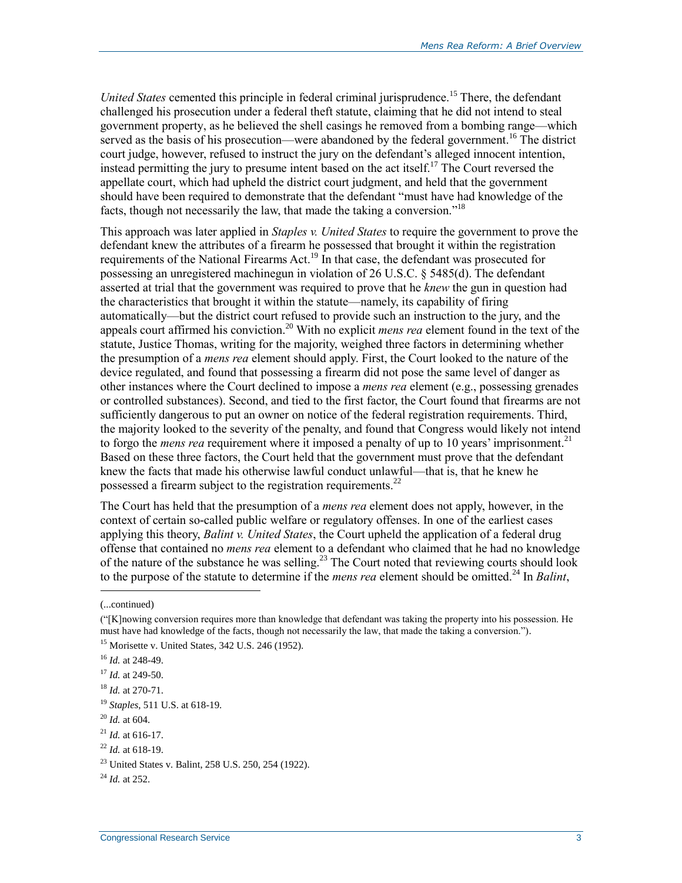*United States* cemented this principle in federal criminal jurisprudence.<sup>15</sup> There, the defendant challenged his prosecution under a federal theft statute, claiming that he did not intend to steal government property, as he believed the shell casings he removed from a bombing range—which served as the basis of his prosecution—were abandoned by the federal government.<sup>16</sup> The district court judge, however, refused to instruct the jury on the defendant's alleged innocent intention, instead permitting the jury to presume intent based on the act itself.<sup>17</sup> The Court reversed the appellate court, which had upheld the district court judgment, and held that the government should have been required to demonstrate that the defendant "must have had knowledge of the facts, though not necessarily the law, that made the taking a conversion."<sup>18</sup>

This approach was later applied in *Staples v. United States* to require the government to prove the defendant knew the attributes of a firearm he possessed that brought it within the registration requirements of the National Firearms Act.<sup>19</sup> In that case, the defendant was prosecuted for possessing an unregistered machinegun in violation of 26 U.S.C. § 5485(d). The defendant asserted at trial that the government was required to prove that he *knew* the gun in question had the characteristics that brought it within the statute—namely, its capability of firing automatically—but the district court refused to provide such an instruction to the jury, and the appeals court affirmed his conviction.<sup>20</sup> With no explicit *mens rea* element found in the text of the statute, Justice Thomas, writing for the majority, weighed three factors in determining whether the presumption of a *mens rea* element should apply. First, the Court looked to the nature of the device regulated, and found that possessing a firearm did not pose the same level of danger as other instances where the Court declined to impose a *mens rea* element (e.g., possessing grenades or controlled substances). Second, and tied to the first factor, the Court found that firearms are not sufficiently dangerous to put an owner on notice of the federal registration requirements. Third, the majority looked to the severity of the penalty, and found that Congress would likely not intend to forgo the *mens rea* requirement where it imposed a penalty of up to 10 years' imprisonment.<sup>21</sup> Based on these three factors, the Court held that the government must prove that the defendant knew the facts that made his otherwise lawful conduct unlawful—that is, that he knew he possessed a firearm subject to the registration requirements.<sup>22</sup>

The Court has held that the presumption of a *mens rea* element does not apply, however, in the context of certain so-called public welfare or regulatory offenses. In one of the earliest cases applying this theory, *Balint v. United States*, the Court upheld the application of a federal drug offense that contained no *mens rea* element to a defendant who claimed that he had no knowledge of the nature of the substance he was selling.<sup>23</sup> The Court noted that reviewing courts should look to the purpose of the statute to determine if the *mens rea* element should be omitted.<sup>24</sup> In *Balint*,

<sup>(...</sup>continued)

<sup>(&</sup>quot;[K]nowing conversion requires more than knowledge that defendant was taking the property into his possession. He must have had knowledge of the facts, though not necessarily the law, that made the taking a conversion.").

<sup>15</sup> Morisette v. United States, 342 U.S. 246 (1952).

<sup>16</sup> *Id.* at 248-49.

<sup>17</sup> *Id.* at 249-50.

<sup>18</sup> *Id.* at 270-71.

<sup>19</sup> *Staples*, 511 U.S. at 618-19.

<sup>20</sup> *Id.* at 604.

<sup>21</sup> *Id.* at 616-17.

<sup>22</sup> *Id.* at 618-19.

<sup>23</sup> United States v. Balint, 258 U.S. 250, 254 (1922).

<sup>24</sup> *Id.* at 252.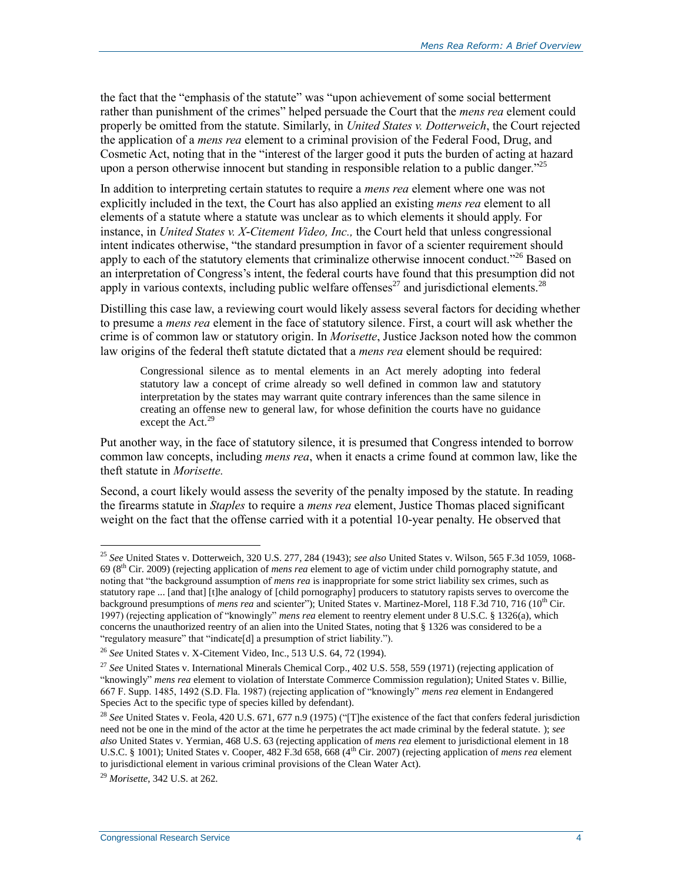the fact that the "emphasis of the statute" was "upon achievement of some social betterment rather than punishment of the crimes" helped persuade the Court that the *mens rea* element could properly be omitted from the statute. Similarly, in *United States v. Dotterweich*, the Court rejected the application of a *mens rea* element to a criminal provision of the Federal Food, Drug, and Cosmetic Act, noting that in the "interest of the larger good it puts the burden of acting at hazard upon a person otherwise innocent but standing in responsible relation to a public danger.<sup>225</sup>

In addition to interpreting certain statutes to require a *mens rea* element where one was not explicitly included in the text, the Court has also applied an existing *mens rea* element to all elements of a statute where a statute was unclear as to which elements it should apply. For instance, in *United States v. X-Citement Video, Inc.,* the Court held that unless congressional intent indicates otherwise, "the standard presumption in favor of a scienter requirement should apply to each of the statutory elements that criminalize otherwise innocent conduct.<sup>226</sup> Based on an interpretation of Congress's intent, the federal courts have found that this presumption did not apply in various contexts, including public welfare offenses<sup>27</sup> and jurisdictional elements.<sup>28</sup>

Distilling this case law, a reviewing court would likely assess several factors for deciding whether to presume a *mens rea* element in the face of statutory silence. First, a court will ask whether the crime is of common law or statutory origin. In *Morisette*, Justice Jackson noted how the common law origins of the federal theft statute dictated that a *mens rea* element should be required:

Congressional silence as to mental elements in an Act merely adopting into federal statutory law a concept of crime already so well defined in common law and statutory interpretation by the states may warrant quite contrary inferences than the same silence in creating an offense new to general law, for whose definition the courts have no guidance except the Act.<sup>29</sup>

Put another way, in the face of statutory silence, it is presumed that Congress intended to borrow common law concepts, including *mens rea*, when it enacts a crime found at common law, like the theft statute in *Morisette.*

Second, a court likely would assess the severity of the penalty imposed by the statute. In reading the firearms statute in *Staples* to require a *mens rea* element, Justice Thomas placed significant weight on the fact that the offense carried with it a potential 10-year penalty. He observed that

<sup>25</sup> *See* United States v. Dotterweich, 320 U.S. 277, 284 (1943); *see also* United States v. Wilson, 565 F.3d 1059, 1068- 69 (8th Cir. 2009) (rejecting application of *mens rea* element to age of victim under child pornography statute, and noting that "the background assumption of *mens rea* is inappropriate for some strict liability sex crimes, such as statutory rape ... [and that] [t]he analogy of [child pornography] producers to statutory rapists serves to overcome the background presumptions of *mens rea* and scienter"); United States v. Martinez-Morel, 118 F.3d 710, 716 (10<sup>th</sup> Cir. 1997) (rejecting application of "knowingly" *mens rea* element to reentry element under 8 U.S.C. § 1326(a), which concerns the unauthorized reentry of an alien into the United States, noting that § 1326 was considered to be a "regulatory measure" that "indicate[d] a presumption of strict liability.").

<sup>26</sup> *See* United States v. X-Citement Video, Inc., 513 U.S. 64, 72 (1994).

<sup>27</sup> *See* United States v. International Minerals Chemical Corp., 402 U.S. 558, 559 (1971) (rejecting application of "knowingly" *mens rea* element to violation of Interstate Commerce Commission regulation); United States v. Billie, 667 F. Supp. 1485, 1492 (S.D. Fla. 1987) (rejecting application of "knowingly" *mens rea* element in Endangered Species Act to the specific type of species killed by defendant).

<sup>&</sup>lt;sup>28</sup> See United States v. Feola, 420 U.S. 671, 677 n.9 (1975) ("[T]he existence of the fact that confers federal jurisdiction need not be one in the mind of the actor at the time he perpetrates the act made criminal by the federal statute. ); *see also* United States v. Yermian, 468 U.S. 63 (rejecting application of *mens rea* element to jurisdictional element in 18 U.S.C. § 1001); United States v. Cooper, 482 F.3d 658, 668 (4th Cir. 2007) (rejecting application of *mens rea* element to jurisdictional element in various criminal provisions of the Clean Water Act).

<sup>29</sup> *Morisette*, 342 U.S. at 262.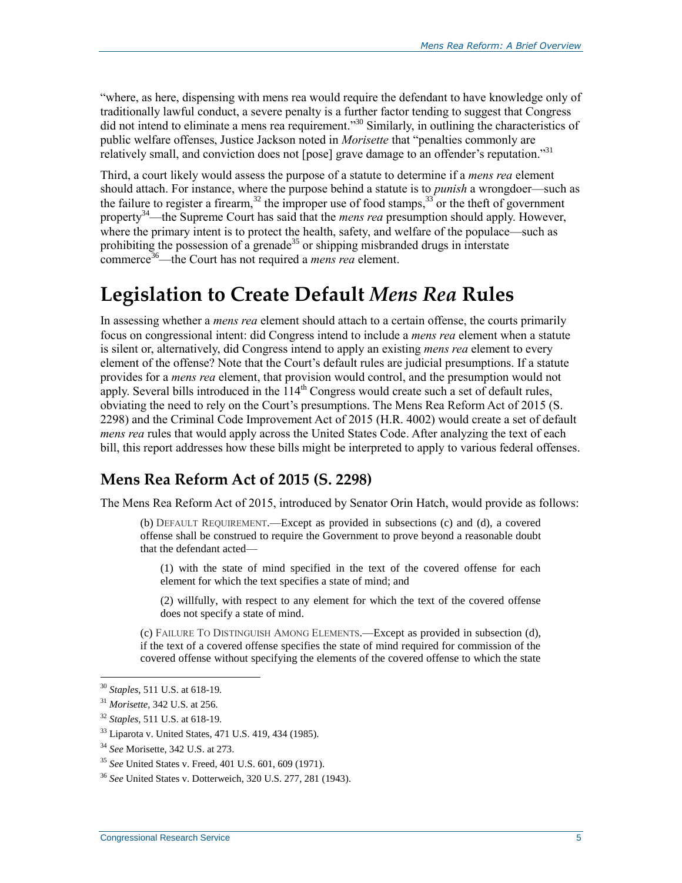"where, as here, dispensing with mens rea would require the defendant to have knowledge only of traditionally lawful conduct, a severe penalty is a further factor tending to suggest that Congress did not intend to eliminate a mens rea requirement."<sup>30</sup> Similarly, in outlining the characteristics of public welfare offenses, Justice Jackson noted in *Morisette* that "penalties commonly are relatively small, and conviction does not [pose] grave damage to an offender's reputation."<sup>31</sup>

Third, a court likely would assess the purpose of a statute to determine if a *mens rea* element should attach. For instance, where the purpose behind a statute is to *punish* a wrongdoer—such as the failure to register a firearm,<sup>32</sup> the improper use of food stamps,  $33$  or the theft of government property<sup>34</sup>—the Supreme Court has said that the *mens rea* presumption should apply. However, where the primary intent is to protect the health, safety, and welfare of the populace—such as prohibiting the possession of a grenade<sup>35</sup> or shipping misbranded drugs in interstate commerce<sup>36</sup>—the Court has not required a *mens rea* element.

# **Legislation to Create Default** *Mens Rea* **Rules**

In assessing whether a *mens rea* element should attach to a certain offense, the courts primarily focus on congressional intent: did Congress intend to include a *mens rea* element when a statute is silent or, alternatively, did Congress intend to apply an existing *mens rea* element to every element of the offense? Note that the Court's default rules are judicial presumptions. If a statute provides for a *mens rea* element, that provision would control, and the presumption would not apply. Several bills introduced in the  $114<sup>th</sup>$  Congress would create such a set of default rules, obviating the need to rely on the Court's presumptions. The Mens Rea Reform Act of 2015 (S. 2298) and the Criminal Code Improvement Act of 2015 (H.R. 4002) would create a set of default *mens rea* rules that would apply across the United States Code. After analyzing the text of each bill, this report addresses how these bills might be interpreted to apply to various federal offenses.

### **Mens Rea Reform Act of 2015 (S. 2298)**

The Mens Rea Reform Act of 2015, introduced by Senator Orin Hatch, would provide as follows:

(b) DEFAULT REQUIREMENT.—Except as provided in subsections (c) and (d), a covered offense shall be construed to require the Government to prove beyond a reasonable doubt that the defendant acted—

(1) with the state of mind specified in the text of the covered offense for each element for which the text specifies a state of mind; and

(2) willfully, with respect to any element for which the text of the covered offense does not specify a state of mind.

(c) FAILURE TO DISTINGUISH AMONG ELEMENTS.—Except as provided in subsection (d), if the text of a covered offense specifies the state of mind required for commission of the covered offense without specifying the elements of the covered offense to which the state

<sup>30</sup> *Staples*, 511 U.S. at 618-19.

<sup>31</sup> *Morisette*, 342 U.S. at 256.

<sup>32</sup> *Staples*, 511 U.S. at 618-19.

<sup>33</sup> Liparota v. United States, 471 U.S. 419, 434 (1985).

<sup>34</sup> *See* Morisette, 342 U.S. at 273.

<sup>35</sup> *See* United States v. Freed, 401 U.S. 601, 609 (1971).

<sup>36</sup> *See* United States v. Dotterweich, 320 U.S. 277, 281 (1943).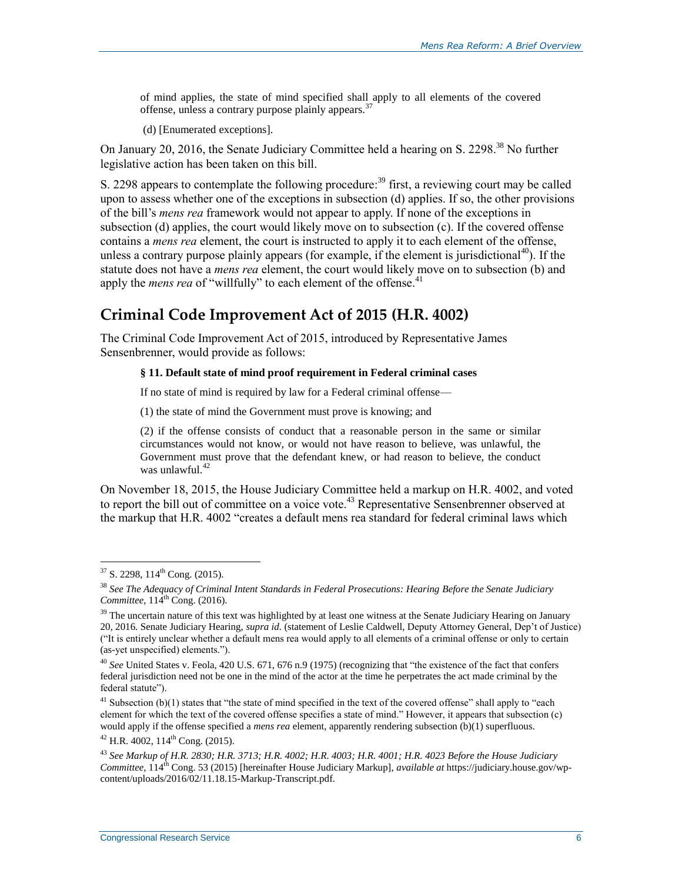of mind applies, the state of mind specified shall apply to all elements of the covered offense, unless a contrary purpose plainly appears.<sup>37</sup>

(d) [Enumerated exceptions].

On January 20, 2016, the Senate Judiciary Committee held a hearing on S. 2298.<sup>38</sup> No further legislative action has been taken on this bill.

S. 2298 appears to contemplate the following procedure:<sup>39</sup> first, a reviewing court may be called upon to assess whether one of the exceptions in subsection (d) applies. If so, the other provisions of the bill's *mens rea* framework would not appear to apply. If none of the exceptions in subsection (d) applies, the court would likely move on to subsection (c). If the covered offense contains a *mens rea* element, the court is instructed to apply it to each element of the offense, unless a contrary purpose plainly appears (for example, if the element is jurisdictional<sup>40</sup>). If the statute does not have a *mens rea* element, the court would likely move on to subsection (b) and apply the *mens rea* of "willfully" to each element of the offense.<sup>41</sup>

## **Criminal Code Improvement Act of 2015 (H.R. 4002)**

The Criminal Code Improvement Act of 2015, introduced by Representative James Sensenbrenner, would provide as follows:

#### **§ 11. Default state of mind proof requirement in Federal criminal cases**

If no state of mind is required by law for a Federal criminal offense—

(1) the state of mind the Government must prove is knowing; and

(2) if the offense consists of conduct that a reasonable person in the same or similar circumstances would not know, or would not have reason to believe, was unlawful, the Government must prove that the defendant knew, or had reason to believe, the conduct was unlawful. $42$ 

On November 18, 2015, the House Judiciary Committee held a markup on H.R. 4002, and voted to report the bill out of committee on a voice vote.<sup>43</sup> Representative Sensenbrenner observed at the markup that H.R. 4002 "creates a default mens rea standard for federal criminal laws which

 $\overline{a}$ 

 $41$  Subsection (b)(1) states that "the state of mind specified in the text of the covered offense" shall apply to "each element for which the text of the covered offense specifies a state of mind." However, it appears that subsection (c) would apply if the offense specified a *mens rea* element, apparently rendering subsection (b)(1) superfluous.

 $42$  H.R. 4002, 114<sup>th</sup> Cong. (2015).

 $37$  S. 2298, 114<sup>th</sup> Cong. (2015).

<sup>38</sup> *See The Adequacy of Criminal Intent Standards in Federal Prosecutions: Hearing Before the Senate Judiciary Committee*,  $114^{\text{th}}$  Cong. (2016).

 $39$  The uncertain nature of this text was highlighted by at least one witness at the Senate Judiciary Hearing on January 20, 2016. Senate Judiciary Hearing, *supra id.* (statement of Leslie Caldwell, Deputy Attorney General, Dep't of Justice) ("It is entirely unclear whether a default mens rea would apply to all elements of a criminal offense or only to certain (as-yet unspecified) elements.").

<sup>40</sup> *See* United States v. Feola, 420 U.S. 671, 676 n.9 (1975) (recognizing that "the existence of the fact that confers federal jurisdiction need not be one in the mind of the actor at the time he perpetrates the act made criminal by the federal statute").

<sup>43</sup> *See Markup of H.R. 2830; H.R. 3713; H.R. 4002; H.R. 4003; H.R. 4001; H.R. 4023 Before the House Judiciary Committee*, 114<sup>th</sup> Cong. 53 (2015) [hereinafter House Judiciary Markup], *available at* https://judiciary.house.gov/wpcontent/uploads/2016/02/11.18.15-Markup-Transcript.pdf.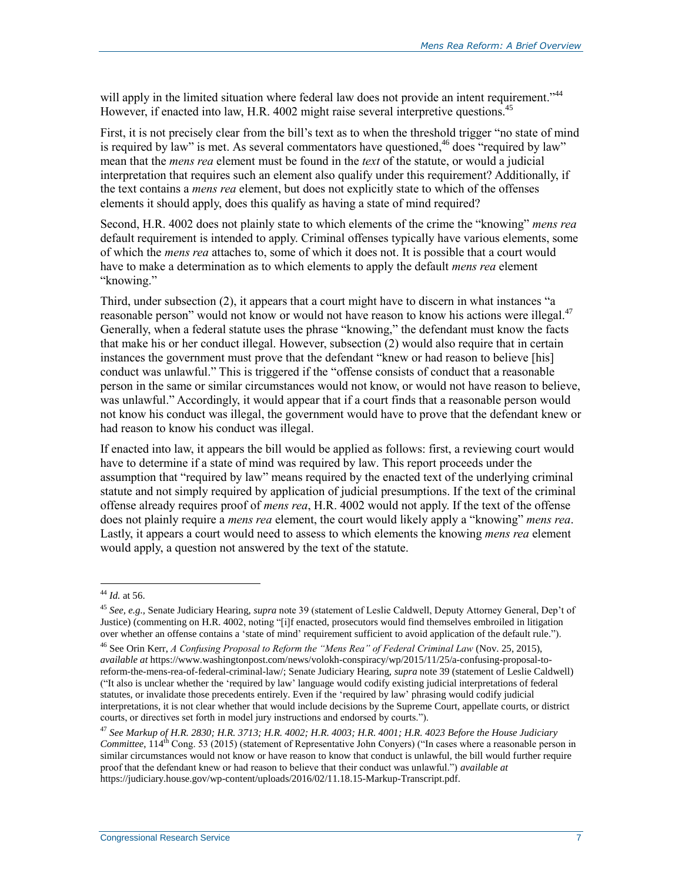will apply in the limited situation where federal law does not provide an intent requirement."<sup>44</sup> However, if enacted into law, H.R. 4002 might raise several interpretive questions.<sup>45</sup>

First, it is not precisely clear from the bill's text as to when the threshold trigger "no state of mind is required by law" is met. As several commentators have questioned,<sup>46</sup> does "required by law" mean that the *mens rea* element must be found in the *text* of the statute, or would a judicial interpretation that requires such an element also qualify under this requirement? Additionally, if the text contains a *mens rea* element, but does not explicitly state to which of the offenses elements it should apply, does this qualify as having a state of mind required?

Second, H.R. 4002 does not plainly state to which elements of the crime the "knowing" *mens rea* default requirement is intended to apply. Criminal offenses typically have various elements, some of which the *mens rea* attaches to, some of which it does not. It is possible that a court would have to make a determination as to which elements to apply the default *mens rea* element "knowing."

Third, under subsection (2), it appears that a court might have to discern in what instances "a reasonable person" would not know or would not have reason to know his actions were illegal.<sup>47</sup> Generally, when a federal statute uses the phrase "knowing," the defendant must know the facts that make his or her conduct illegal. However, subsection (2) would also require that in certain instances the government must prove that the defendant "knew or had reason to believe [his] conduct was unlawful." This is triggered if the "offense consists of conduct that a reasonable person in the same or similar circumstances would not know, or would not have reason to believe, was unlawful." Accordingly, it would appear that if a court finds that a reasonable person would not know his conduct was illegal, the government would have to prove that the defendant knew or had reason to know his conduct was illegal.

If enacted into law, it appears the bill would be applied as follows: first, a reviewing court would have to determine if a state of mind was required by law. This report proceeds under the assumption that "required by law" means required by the enacted text of the underlying criminal statute and not simply required by application of judicial presumptions. If the text of the criminal offense already requires proof of *mens rea*, H.R. 4002 would not apply. If the text of the offense does not plainly require a *mens rea* element, the court would likely apply a "knowing" *mens rea*. Lastly, it appears a court would need to assess to which elements the knowing *mens rea* element would apply, a question not answered by the text of the statute.

<sup>44</sup> *Id.* at 56.

<sup>45</sup> *See, e.g.,* Senate Judiciary Hearing, *supra* note 39 (statement of Leslie Caldwell, Deputy Attorney General, Dep't of Justice) (commenting on H.R. 4002, noting "[i]f enacted, prosecutors would find themselves embroiled in litigation over whether an offense contains a 'state of mind' requirement sufficient to avoid application of the default rule.").

<sup>46</sup> See Orin Kerr, *A Confusing Proposal to Reform the "Mens Rea" of Federal Criminal Law* (Nov. 25, 2015), *available at* https://www.washingtonpost.com/news/volokh-conspiracy/wp/2015/11/25/a-confusing-proposal-toreform-the-mens-rea-of-federal-criminal-law/; Senate Judiciary Hearing, *supra* note 39 (statement of Leslie Caldwell) ("It also is unclear whether the 'required by law' language would codify existing judicial interpretations of federal statutes, or invalidate those precedents entirely. Even if the 'required by law' phrasing would codify judicial interpretations, it is not clear whether that would include decisions by the Supreme Court, appellate courts, or district courts, or directives set forth in model jury instructions and endorsed by courts.").

<sup>47</sup> *See Markup of H.R. 2830; H.R. 3713; H.R. 4002; H.R. 4003; H.R. 4001; H.R. 4023 Before the House Judiciary Committee*, 114<sup>th</sup> Cong. 53 (2015) (statement of Representative John Conyers) ("In cases where a reasonable person in similar circumstances would not know or have reason to know that conduct is unlawful, the bill would further require proof that the defendant knew or had reason to believe that their conduct was unlawful.") *available at* https://judiciary.house.gov/wp-content/uploads/2016/02/11.18.15-Markup-Transcript.pdf.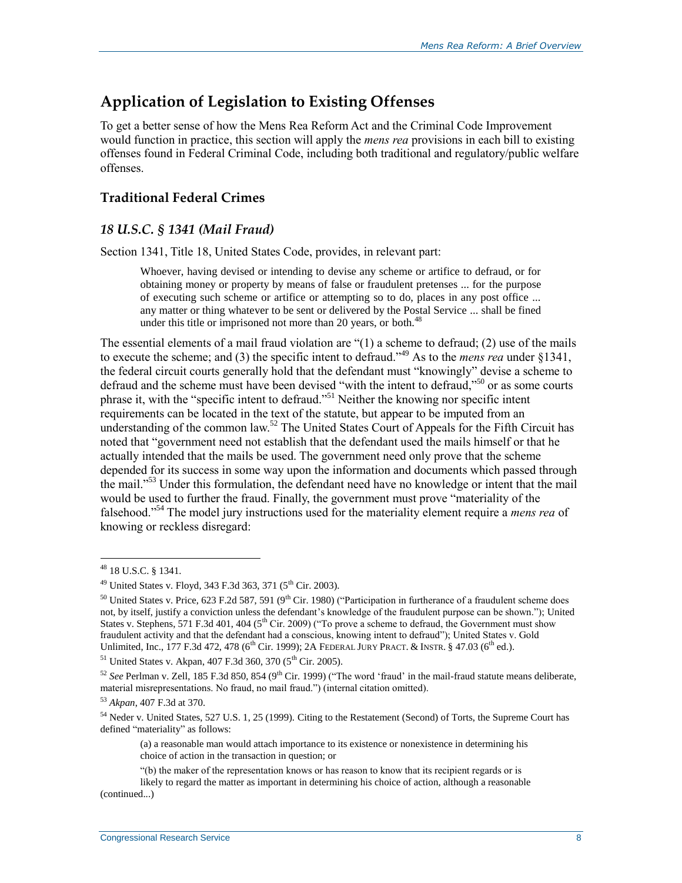## **Application of Legislation to Existing Offenses**

To get a better sense of how the Mens Rea Reform Act and the Criminal Code Improvement would function in practice, this section will apply the *mens rea* provisions in each bill to existing offenses found in Federal Criminal Code, including both traditional and regulatory/public welfare offenses.

### **Traditional Federal Crimes**

### *18 U.S.C. § 1341 (Mail Fraud)*

Section 1341, Title 18, United States Code, provides, in relevant part:

Whoever, having devised or intending to devise any scheme or artifice to defraud, or for obtaining money or property by means of false or fraudulent pretenses ... for the purpose of executing such scheme or artifice or attempting so to do, places in any post office ... any matter or thing whatever to be sent or delivered by the Postal Service ... shall be fined under this title or imprisoned not more than 20 years, or both.<sup>48</sup>

The essential elements of a mail fraud violation are "(1) a scheme to defraud; (2) use of the mails to execute the scheme; and (3) the specific intent to defraud."<sup>49</sup> As to the *mens rea* under §1341, the federal circuit courts generally hold that the defendant must "knowingly" devise a scheme to defraud and the scheme must have been devised "with the intent to defraud,"<sup>50</sup> or as some courts phrase it, with the "specific intent to defraud."<sup>51</sup> Neither the knowing nor specific intent requirements can be located in the text of the statute, but appear to be imputed from an understanding of the common law.<sup>52</sup> The United States Court of Appeals for the Fifth Circuit has noted that "government need not establish that the defendant used the mails himself or that he actually intended that the mails be used. The government need only prove that the scheme depended for its success in some way upon the information and documents which passed through the mail."<sup>53</sup> Under this formulation, the defendant need have no knowledge or intent that the mail would be used to further the fraud. Finally, the government must prove "materiality of the falsehood."<sup>54</sup> The model jury instructions used for the materiality element require a *mens rea* of knowing or reckless disregard:

<sup>48</sup> 18 U.S.C. § 1341.

 $^{49}$  United States v. Floyd, 343 F.3d 363, 371 (5<sup>th</sup> Cir. 2003).

<sup>&</sup>lt;sup>50</sup> United States v. Price, 623 F.2d 587, 591 (9<sup>th</sup> Cir. 1980) ("Participation in furtherance of a fraudulent scheme does not, by itself, justify a conviction unless the defendant's knowledge of the fraudulent purpose can be shown."); United States v. Stephens, 571 F.3d 401, 404 (5<sup>th</sup> Cir. 2009) ("To prove a scheme to defraud, the Government must show fraudulent activity and that the defendant had a conscious, knowing intent to defraud"); United States v. Gold Unlimited, Inc., 177 F.3d 472, 478 ( $6^{th}$  Cir. 1999); 2A FEDERAL JURY PRACT. & INSTR. § 47.03 ( $6^{th}$  ed.).

 $51$  United States v. Akpan, 407 F.3d 360, 370 ( $5<sup>th</sup>$  Cir. 2005).

<sup>&</sup>lt;sup>52</sup> See Perlman v. Zell, 185 F.3d 850, 854 (9<sup>th</sup> Cir. 1999) ("The word 'fraud' in the mail-fraud statute means deliberate, material misrepresentations. No fraud, no mail fraud.") (internal citation omitted).

<sup>53</sup> *Akpan*, 407 F.3d at 370.

<sup>&</sup>lt;sup>54</sup> Neder v. United States, 527 U.S. 1, 25 (1999). Citing to the Restatement (Second) of Torts, the Supreme Court has defined "materiality" as follows:

<sup>(</sup>a) a reasonable man would attach importance to its existence or nonexistence in determining his choice of action in the transaction in question; or

<sup>&</sup>quot;(b) the maker of the representation knows or has reason to know that its recipient regards or is

likely to regard the matter as important in determining his choice of action, although a reasonable (continued...)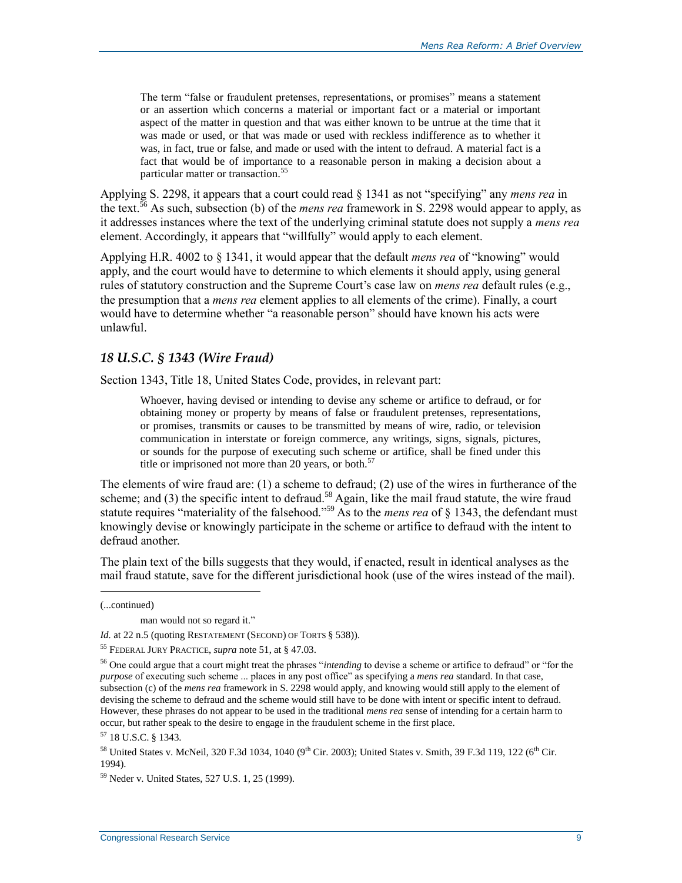The term "false or fraudulent pretenses, representations, or promises" means a statement or an assertion which concerns a material or important fact or a material or important aspect of the matter in question and that was either known to be untrue at the time that it was made or used, or that was made or used with reckless indifference as to whether it was, in fact, true or false, and made or used with the intent to defraud. A material fact is a fact that would be of importance to a reasonable person in making a decision about a particular matter or transaction.<sup>55</sup>

Applying S. 2298, it appears that a court could read § 1341 as not "specifying" any *mens rea* in the text.<sup>56</sup> As such, subsection (b) of the *mens rea* framework in S. 2298 would appear to apply, as it addresses instances where the text of the underlying criminal statute does not supply a *mens rea* element. Accordingly, it appears that "willfully" would apply to each element.

Applying H.R. 4002 to § 1341, it would appear that the default *mens rea* of "knowing" would apply, and the court would have to determine to which elements it should apply, using general rules of statutory construction and the Supreme Court's case law on *mens rea* default rules (e.g., the presumption that a *mens rea* element applies to all elements of the crime). Finally, a court would have to determine whether "a reasonable person" should have known his acts were unlawful.

#### *18 U.S.C. § 1343 (Wire Fraud)*

Section 1343, Title 18, United States Code, provides, in relevant part:

Whoever, having devised or intending to devise any scheme or artifice to defraud, or for obtaining money or property by means of false or fraudulent pretenses, representations, or promises, transmits or causes to be transmitted by means of wire, radio, or television communication in interstate or foreign commerce, any writings, signs, signals, pictures, or sounds for the purpose of executing such scheme or artifice, shall be fined under this title or imprisoned not more than 20 years, or both. $57$ 

The elements of wire fraud are: (1) a scheme to defraud; (2) use of the wires in furtherance of the scheme; and (3) the specific intent to defraud.<sup>58</sup> Again, like the mail fraud statute, the wire fraud statute requires "materiality of the falsehood."<sup>59</sup> As to the *mens rea* of § 1343, the defendant must knowingly devise or knowingly participate in the scheme or artifice to defraud with the intent to defraud another.

The plain text of the bills suggests that they would, if enacted, result in identical analyses as the mail fraud statute, save for the different jurisdictional hook (use of the wires instead of the mail).

<sup>(...</sup>continued)

man would not so regard it."

*Id.* at 22 n.5 (quoting RESTATEMENT (SECOND) OF TORTS § 538)).

<sup>55</sup> FEDERAL JURY PRACTICE, *supra* note 51, at § 47.03.

<sup>56</sup> One could argue that a court might treat the phrases "*intending* to devise a scheme or artifice to defraud" or "for the *purpose* of executing such scheme ... places in any post office" as specifying a *mens rea* standard. In that case, subsection (c) of the *mens rea* framework in S. 2298 would apply, and knowing would still apply to the element of devising the scheme to defraud and the scheme would still have to be done with intent or specific intent to defraud. However, these phrases do not appear to be used in the traditional *mens rea* sense of intending for a certain harm to occur, but rather speak to the desire to engage in the fraudulent scheme in the first place.

<sup>57</sup> 18 U.S.C. § 1343.

<sup>&</sup>lt;sup>58</sup> United States v. McNeil, 320 F.3d 1034, 1040 (9<sup>th</sup> Cir. 2003); United States v. Smith, 39 F.3d 119, 122 (6<sup>th</sup> Cir. 1994).

<sup>59</sup> Neder v. United States, 527 U.S. 1, 25 (1999).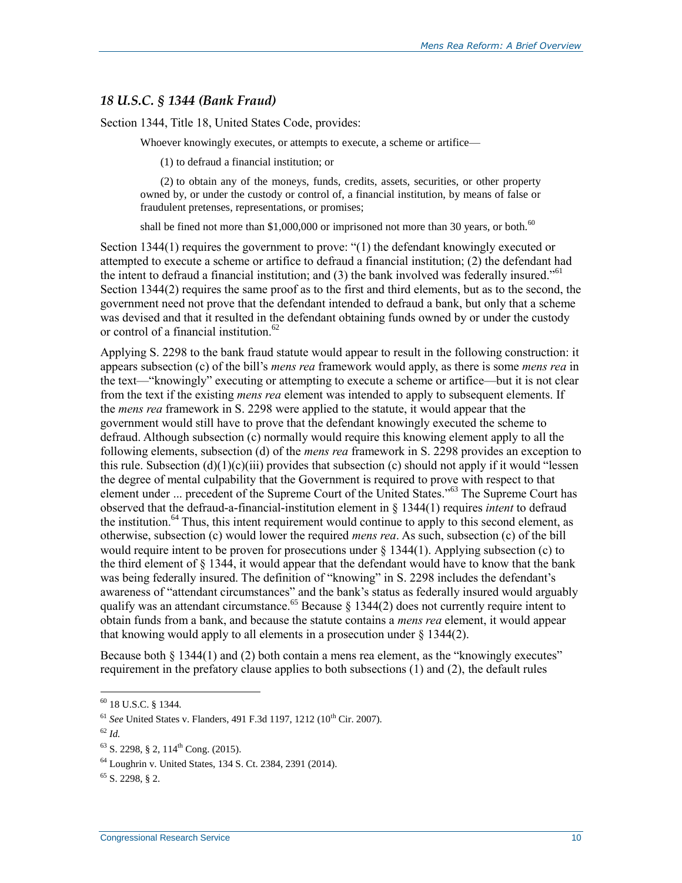#### *18 U.S.C. § 1344 (Bank Fraud)*

Section 1344, Title 18, United States Code, provides:

Whoever knowingly executes, or attempts to execute, a scheme or artifice—

(1) to defraud a financial institution; or

(2) to obtain any of the moneys, funds, credits, assets, securities, or other property owned by, or under the custody or control of, a financial institution, by means of false or fraudulent pretenses, representations, or promises;

shall be fined not more than \$1,000,000 or imprisoned not more than 30 years, or both. $^{60}$ 

Section 1344(1) requires the government to prove: "(1) the defendant knowingly executed or attempted to execute a scheme or artifice to defraud a financial institution; (2) the defendant had the intent to defraud a financial institution; and  $(3)$  the bank involved was federally insured.<sup>"61</sup> Section 1344(2) requires the same proof as to the first and third elements, but as to the second, the government need not prove that the defendant intended to defraud a bank, but only that a scheme was devised and that it resulted in the defendant obtaining funds owned by or under the custody or control of a financial institution.<sup>62</sup>

Applying S. 2298 to the bank fraud statute would appear to result in the following construction: it appears subsection (c) of the bill's *mens rea* framework would apply, as there is some *mens rea* in the text—"knowingly" executing or attempting to execute a scheme or artifice—but it is not clear from the text if the existing *mens rea* element was intended to apply to subsequent elements. If the *mens rea* framework in S. 2298 were applied to the statute, it would appear that the government would still have to prove that the defendant knowingly executed the scheme to defraud. Although subsection (c) normally would require this knowing element apply to all the following elements, subsection (d) of the *mens rea* framework in S. 2298 provides an exception to this rule. Subsection  $(d)(1)(c)(iii)$  provides that subsection (c) should not apply if it would "lessen the degree of mental culpability that the Government is required to prove with respect to that element under ... precedent of the Supreme Court of the United States."<sup>63</sup> The Supreme Court has observed that the defraud-a-financial-institution element in § 1344(1) requires *intent* to defraud the institution.<sup>64</sup> Thus, this intent requirement would continue to apply to this second element, as otherwise, subsection (c) would lower the required *mens rea*. As such, subsection (c) of the bill would require intent to be proven for prosecutions under  $\S 1344(1)$ . Applying subsection (c) to the third element of § 1344, it would appear that the defendant would have to know that the bank was being federally insured. The definition of "knowing" in S. 2298 includes the defendant's awareness of "attendant circumstances" and the bank's status as federally insured would arguably qualify was an attendant circumstance.<sup>65</sup> Because  $\S$  1344(2) does not currently require intent to obtain funds from a bank, and because the statute contains a *mens rea* element, it would appear that knowing would apply to all elements in a prosecution under  $\S$  1344(2).

Because both  $\S$  1344(1) and (2) both contain a mens rea element, as the "knowingly executes" requirement in the prefatory clause applies to both subsections (1) and (2), the default rules

 $^{60}$  18 U.S.C. § 1344.

<sup>&</sup>lt;sup>61</sup> *See* United States v. Flanders, 491 F.3d 1197, 1212 (10<sup>th</sup> Cir. 2007).

 $62$  *Id.* 

 $63$  S. 2298, § 2, 114<sup>th</sup> Cong. (2015).

<sup>64</sup> Loughrin v. United States, 134 S. Ct. 2384, 2391 (2014).

 $65$  S, 2298, 8 2.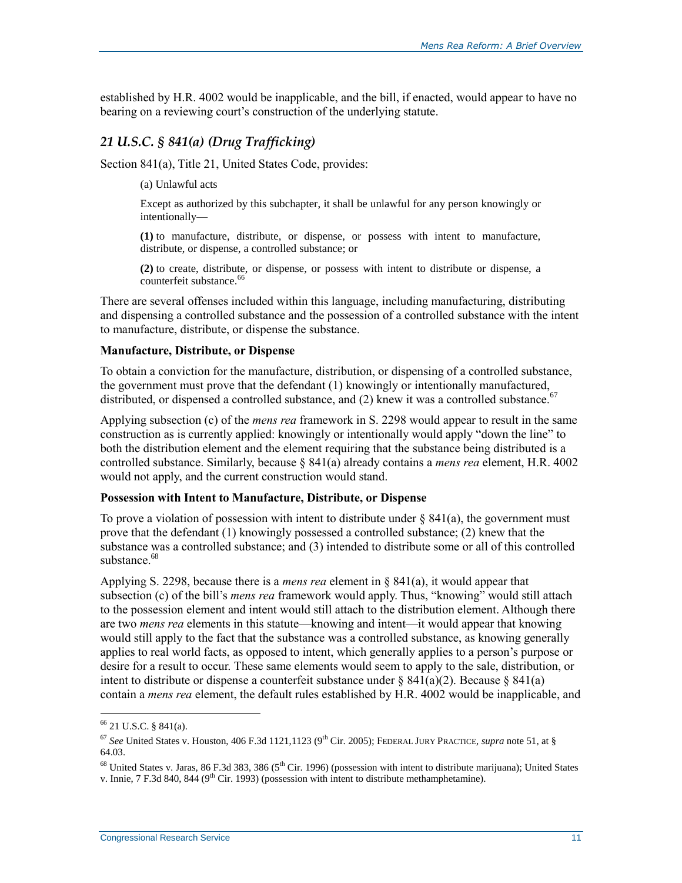established by H.R. 4002 would be inapplicable, and the bill, if enacted, would appear to have no bearing on a reviewing court's construction of the underlying statute.

### *21 U.S.C. § 841(a) (Drug Trafficking)*

Section 841(a), Title 21, United States Code, provides:

(a) Unlawful acts

Except as authorized by this subchapter, it shall be unlawful for any person knowingly or intentionally—

**(1)** to manufacture, distribute, or dispense, or possess with intent to manufacture, distribute, or dispense, a controlled substance; or

**(2)** to create, distribute, or dispense, or possess with intent to distribute or dispense, a counterfeit substance.<sup>66</sup>

There are several offenses included within this language, including manufacturing, distributing and dispensing a controlled substance and the possession of a controlled substance with the intent to manufacture, distribute, or dispense the substance.

#### **Manufacture, Distribute, or Dispense**

To obtain a conviction for the manufacture, distribution, or dispensing of a controlled substance, the government must prove that the defendant (1) knowingly or intentionally manufactured, distributed, or dispensed a controlled substance, and  $(2)$  knew it was a controlled substance.<sup>67</sup>

Applying subsection (c) of the *mens rea* framework in S. 2298 would appear to result in the same construction as is currently applied: knowingly or intentionally would apply "down the line" to both the distribution element and the element requiring that the substance being distributed is a controlled substance. Similarly, because § 841(a) already contains a *mens rea* element, H.R. 4002 would not apply, and the current construction would stand.

#### **Possession with Intent to Manufacture, Distribute, or Dispense**

To prove a violation of possession with intent to distribute under  $\S$  841(a), the government must prove that the defendant (1) knowingly possessed a controlled substance; (2) knew that the substance was a controlled substance; and (3) intended to distribute some or all of this controlled substance  $68$ 

Applying S. 2298, because there is a *mens rea* element in § 841(a), it would appear that subsection (c) of the bill's *mens rea* framework would apply. Thus, "knowing" would still attach to the possession element and intent would still attach to the distribution element. Although there are two *mens rea* elements in this statute—knowing and intent—it would appear that knowing would still apply to the fact that the substance was a controlled substance, as knowing generally applies to real world facts, as opposed to intent, which generally applies to a person's purpose or desire for a result to occur. These same elements would seem to apply to the sale, distribution, or intent to distribute or dispense a counterfeit substance under  $\S 841(a)(2)$ . Because  $\S 841(a)$ contain a *mens rea* element, the default rules established by H.R. 4002 would be inapplicable, and

<sup>66</sup> 21 U.S.C. § 841(a).

<sup>67</sup> *See* United States v. Houston, 406 F.3d 1121,1123 (9th Cir. 2005); FEDERAL JURY PRACTICE, *supra* note 51, at § 64.03.

 $^{68}$  United States v. Jaras, 86 F.3d 383, 386 (5<sup>th</sup> Cir. 1996) (possession with intent to distribute marijuana); United States v. Innie, 7 F.3d 840, 844 (9<sup>th</sup> Cir. 1993) (possession with intent to distribute methamphetamine).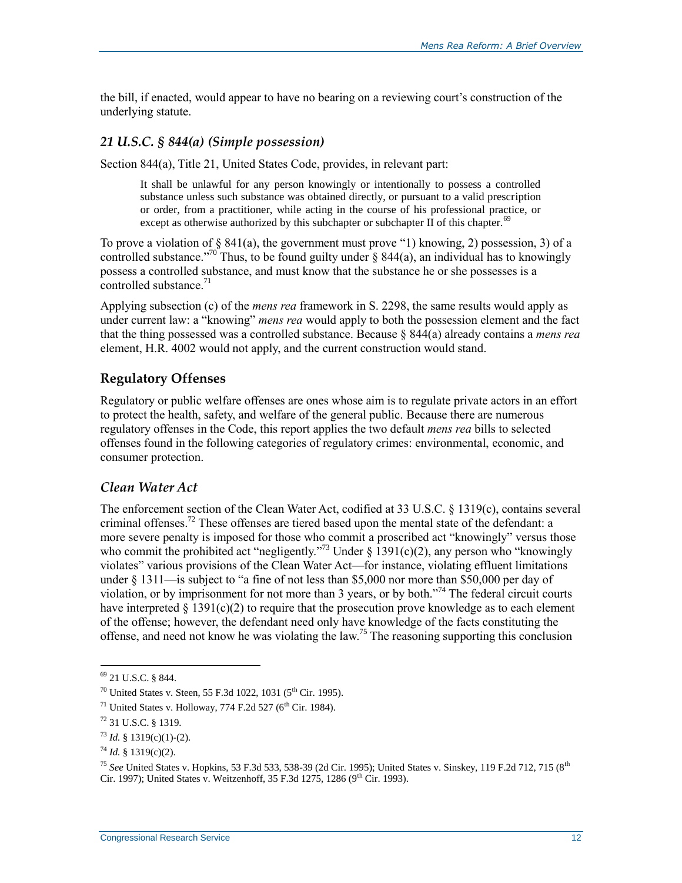the bill, if enacted, would appear to have no bearing on a reviewing court's construction of the underlying statute.

#### *21 U.S.C. § 844(a) (Simple possession)*

Section 844(a), Title 21, United States Code, provides, in relevant part:

It shall be unlawful for any person knowingly or intentionally to possess a controlled substance unless such substance was obtained directly, or pursuant to a valid prescription or order, from a practitioner, while acting in the course of his professional practice, or except as otherwise authorized by this subchapter or subchapter II of this chapter.<sup>69</sup>

To prove a violation of  $\S$  841(a), the government must prove "1) knowing, 2) possession, 3) of a controlled substance."<sup>70</sup> Thus, to be found guilty under  $\S$  844(a), an individual has to knowingly possess a controlled substance, and must know that the substance he or she possesses is a controlled substance.<sup>71</sup>

Applying subsection (c) of the *mens rea* framework in S. 2298, the same results would apply as under current law: a "knowing" *mens rea* would apply to both the possession element and the fact that the thing possessed was a controlled substance. Because § 844(a) already contains a *mens rea* element, H.R. 4002 would not apply, and the current construction would stand.

### **Regulatory Offenses**

Regulatory or public welfare offenses are ones whose aim is to regulate private actors in an effort to protect the health, safety, and welfare of the general public. Because there are numerous regulatory offenses in the Code, this report applies the two default *mens rea* bills to selected offenses found in the following categories of regulatory crimes: environmental, economic, and consumer protection.

#### *Clean Water Act*

The enforcement section of the Clean Water Act, codified at 33 U.S.C. § 1319(c), contains several criminal offenses.<sup>72</sup> These offenses are tiered based upon the mental state of the defendant: a more severe penalty is imposed for those who commit a proscribed act "knowingly" versus those who commit the prohibited act "negligently."<sup>73</sup> Under  $\S$  1391(c)(2), any person who "knowingly violates" various provisions of the Clean Water Act—for instance, violating effluent limitations under § 1311—is subject to "a fine of not less than \$5,000 nor more than \$50,000 per day of violation, or by imprisonment for not more than 3 years, or by both."<sup>74</sup> The federal circuit courts have interpreted  $\S$  1391(c)(2) to require that the prosecution prove knowledge as to each element of the offense; however, the defendant need only have knowledge of the facts constituting the offense, and need not know he was violating the law.<sup>75</sup> The reasoning supporting this conclusion

<sup>69</sup> 21 U.S.C. § 844.

 $70$  United States v. Steen, 55 F.3d 1022, 1031 (5<sup>th</sup> Cir. 1995).

 $^{71}$  United States v. Holloway, 774 F.2d 527 (6<sup>th</sup> Cir. 1984).

<sup>72</sup> 31 U.S.C. § 1319.

 $73$  *Id.* § 1319(c)(1)-(2).

 $^{74}$  *Id.* § 1319(c)(2).

<sup>75</sup> *See* United States v. Hopkins, 53 F.3d 533, 538-39 (2d Cir. 1995); United States v. Sinskey, 119 F.2d 712, 715 (8th Cir. 1997); United States v. Weitzenhoff, 35 F.3d 1275, 1286 (9<sup>th</sup> Cir. 1993).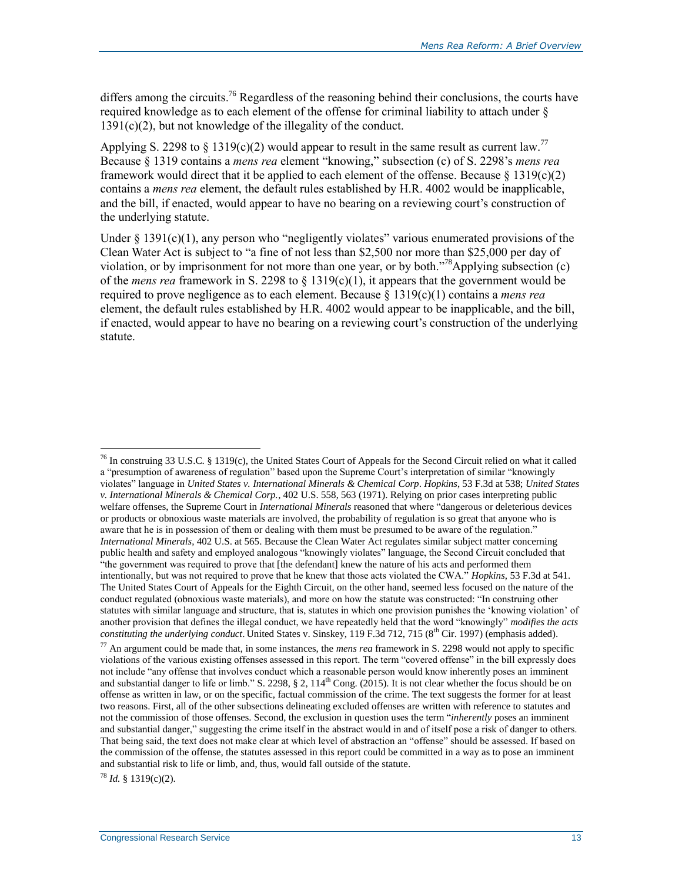differs among the circuits.<sup>76</sup> Regardless of the reasoning behind their conclusions, the courts have required knowledge as to each element of the offense for criminal liability to attach under § 1391(c)(2), but not knowledge of the illegality of the conduct.

Applying S. 2298 to § 1319(c)(2) would appear to result in the same result as current law.<sup>77</sup> Because § 1319 contains a *mens rea* element "knowing," subsection (c) of S. 2298's *mens rea* framework would direct that it be applied to each element of the offense. Because  $\S 1319(c)(2)$ contains a *mens rea* element, the default rules established by H.R. 4002 would be inapplicable, and the bill, if enacted, would appear to have no bearing on a reviewing court's construction of the underlying statute.

Under  $\S$  1391(c)(1), any person who "negligently violates" various enumerated provisions of the Clean Water Act is subject to "a fine of not less than \$2,500 nor more than \$25,000 per day of violation, or by imprisonment for not more than one year, or by both.<sup>778</sup>Applying subsection (c) of the *mens rea* framework in S. 2298 to § 1319(c)(1), it appears that the government would be required to prove negligence as to each element. Because § 1319(c)(1) contains a *mens rea* element, the default rules established by H.R. 4002 would appear to be inapplicable, and the bill, if enacted, would appear to have no bearing on a reviewing court's construction of the underlying statute.

<sup>78</sup> *Id.* § 1319(c)(2).

<sup>&</sup>lt;sup>76</sup> In construing 33 U.S.C. § 1319(c), the United States Court of Appeals for the Second Circuit relied on what it called a "presumption of awareness of regulation" based upon the Supreme Court's interpretation of similar "knowingly violates" language in *United States v. International Minerals & Chemical Corp*. *Hopkins*, 53 F.3d at 538; *United States v. International Minerals & Chemical Corp.*, 402 U.S. 558, 563 (1971). Relying on prior cases interpreting public welfare offenses, the Supreme Court in *International Minerals* reasoned that where "dangerous or deleterious devices or products or obnoxious waste materials are involved, the probability of regulation is so great that anyone who is aware that he is in possession of them or dealing with them must be presumed to be aware of the regulation." *International Minerals*, 402 U.S. at 565. Because the Clean Water Act regulates similar subject matter concerning public health and safety and employed analogous "knowingly violates" language, the Second Circuit concluded that "the government was required to prove that [the defendant] knew the nature of his acts and performed them intentionally, but was not required to prove that he knew that those acts violated the CWA." *Hopkins*, 53 F.3d at 541. The United States Court of Appeals for the Eighth Circuit, on the other hand, seemed less focused on the nature of the conduct regulated (obnoxious waste materials), and more on how the statute was constructed: "In construing other statutes with similar language and structure, that is, statutes in which one provision punishes the 'knowing violation' of another provision that defines the illegal conduct, we have repeatedly held that the word "knowingly" *modifies the acts constituting the underlying conduct*. United States v. Sinskey, 119 F.3d 712, 715 (8<sup>th</sup> Cir. 1997) (emphasis added).

<sup>77</sup> An argument could be made that, in some instances, the *mens rea* framework in S. 2298 would not apply to specific violations of the various existing offenses assessed in this report. The term "covered offense" in the bill expressly does not include "any offense that involves conduct which a reasonable person would know inherently poses an imminent and substantial danger to life or limb." S. 2298, § 2,  $114<sup>th</sup>$  Cong. (2015). It is not clear whether the focus should be on offense as written in law, or on the specific, factual commission of the crime. The text suggests the former for at least two reasons. First, all of the other subsections delineating excluded offenses are written with reference to statutes and not the commission of those offenses. Second, the exclusion in question uses the term "*inherently* poses an imminent and substantial danger," suggesting the crime itself in the abstract would in and of itself pose a risk of danger to others. That being said, the text does not make clear at which level of abstraction an "offense" should be assessed. If based on the commission of the offense, the statutes assessed in this report could be committed in a way as to pose an imminent and substantial risk to life or limb, and, thus, would fall outside of the statute.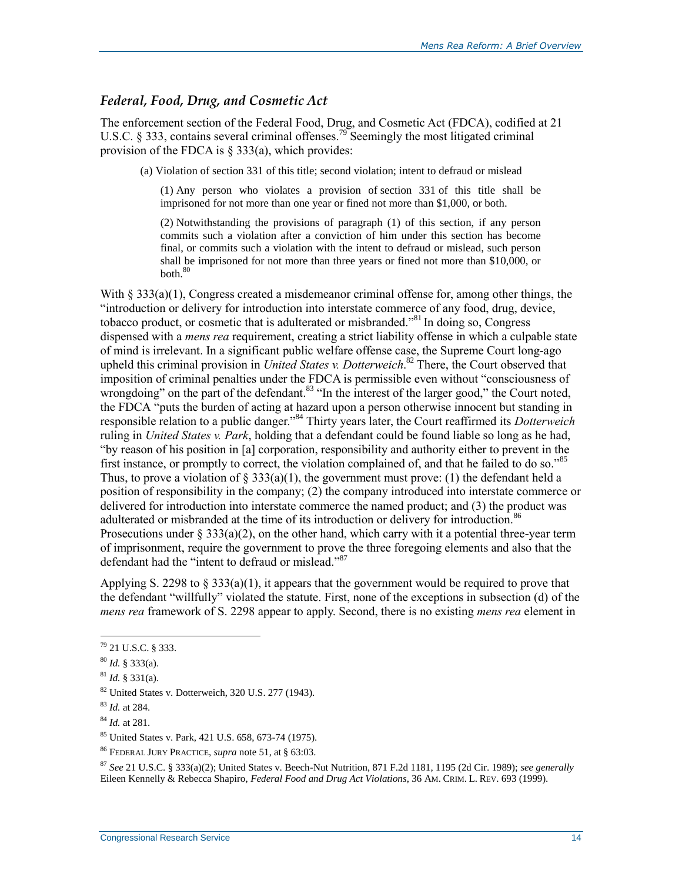#### *Federal, Food, Drug, and Cosmetic Act*

The enforcement section of the Federal Food, Drug, and Cosmetic Act (FDCA), codified at 21 U.S.C. § 333, contains several criminal offenses.<sup>79</sup> Seemingly the most litigated criminal provision of the FDCA is § 333(a), which provides:

(a) Violation of section 331 of this title; second violation; intent to defraud or mislead

(1) Any person who violates a provision of section 331 of this title shall be imprisoned for not more than one year or fined not more than \$1,000, or both.

(2) Notwithstanding the provisions of paragraph (1) of this section, if any person commits such a violation after a conviction of him under this section has become final, or commits such a violation with the intent to defraud or mislead, such person shall be imprisoned for not more than three years or fined not more than \$10,000, or  $both.<sup>80</sup>$ 

With § 333(a)(1), Congress created a misdemeanor criminal offense for, among other things, the "introduction or delivery for introduction into interstate commerce of any food, drug, device, tobacco product, or cosmetic that is adulterated or misbranded.<sup>881</sup> In doing so, Congress dispensed with a *mens rea* requirement, creating a strict liability offense in which a culpable state of mind is irrelevant. In a significant public welfare offense case, the Supreme Court long-ago upheld this criminal provision in *United States v. Dotterweich*. <sup>82</sup> There, the Court observed that imposition of criminal penalties under the FDCA is permissible even without "consciousness of wrongdoing" on the part of the defendant.  $83$  "In the interest of the larger good," the Court noted, the FDCA "puts the burden of acting at hazard upon a person otherwise innocent but standing in responsible relation to a public danger."<sup>84</sup> Thirty years later, the Court reaffirmed its *Dotterweich* ruling in *United States v. Park*, holding that a defendant could be found liable so long as he had, "by reason of his position in [a] corporation, responsibility and authority either to prevent in the first instance, or promptly to correct, the violation complained of, and that he failed to do so."<sup>85</sup> Thus, to prove a violation of  $\S 333(a)(1)$ , the government must prove: (1) the defendant held a position of responsibility in the company; (2) the company introduced into interstate commerce or delivered for introduction into interstate commerce the named product; and (3) the product was adulterated or misbranded at the time of its introduction or delivery for introduction.<sup>86</sup> Prosecutions under  $\S 333(a)(2)$ , on the other hand, which carry with it a potential three-year term of imprisonment, require the government to prove the three foregoing elements and also that the defendant had the "intent to defraud or mislead."<sup>87</sup>

Applying S. 2298 to  $\S 333(a)(1)$ , it appears that the government would be required to prove that the defendant "willfully" violated the statute. First, none of the exceptions in subsection (d) of the *mens rea* framework of S. 2298 appear to apply. Second, there is no existing *mens rea* element in

 $\overline{a}$ 

<sup>87</sup> *See* 21 U.S.C. § 333(a)(2); United States v. Beech-Nut Nutrition, 871 F.2d 1181, 1195 (2d Cir. 1989); *see generally* Eileen Kennelly & Rebecca Shapiro, *Federal Food and Drug Act Violations*, 36 AM. CRIM. L. REV. 693 (1999).

<sup>79</sup> 21 U.S.C. § 333.

<sup>80</sup> *Id.* § 333(a).

 $^{81}$  *Id.* § 331(a).

<sup>82</sup> United States v. Dotterweich, 320 U.S. 277 (1943).

<sup>83</sup> *Id.* at 284.

<sup>84</sup> *Id.* at 281.

<sup>85</sup> United States v. Park, 421 U.S. 658, 673-74 (1975).

<sup>86</sup> FEDERAL JURY PRACTICE, *supra* note 51, at § 63:03.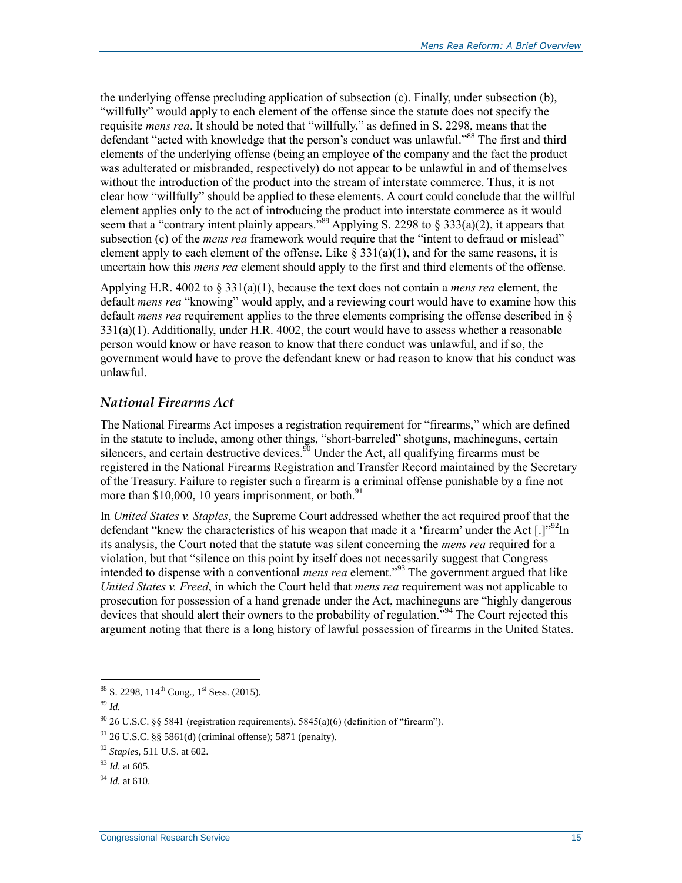the underlying offense precluding application of subsection (c). Finally, under subsection (b), "willfully" would apply to each element of the offense since the statute does not specify the requisite *mens rea*. It should be noted that "willfully," as defined in S. 2298, means that the defendant "acted with knowledge that the person's conduct was unlawful."<sup>88</sup> The first and third elements of the underlying offense (being an employee of the company and the fact the product was adulterated or misbranded, respectively) do not appear to be unlawful in and of themselves without the introduction of the product into the stream of interstate commerce. Thus, it is not clear how "willfully" should be applied to these elements. A court could conclude that the willful element applies only to the act of introducing the product into interstate commerce as it would seem that a "contrary intent plainly appears."<sup>89</sup> Applying S. 2298 to  $\S 333(a)(2)$ , it appears that subsection (c) of the *mens rea* framework would require that the "intent to defraud or mislead" element apply to each element of the offense. Like  $\S 331(a)(1)$ , and for the same reasons, it is uncertain how this *mens rea* element should apply to the first and third elements of the offense.

Applying H.R. 4002 to § 331(a)(1), because the text does not contain a *mens rea* element, the default *mens rea* "knowing" would apply, and a reviewing court would have to examine how this default *mens rea* requirement applies to the three elements comprising the offense described in § 331(a)(1). Additionally, under H.R. 4002, the court would have to assess whether a reasonable person would know or have reason to know that there conduct was unlawful, and if so, the government would have to prove the defendant knew or had reason to know that his conduct was unlawful.

### *National Firearms Act*

The National Firearms Act imposes a registration requirement for "firearms," which are defined in the statute to include, among other things, "short-barreled" shotguns, machineguns, certain silencers, and certain destructive devices.<sup>90</sup> Under the Act, all qualifying firearms must be registered in the National Firearms Registration and Transfer Record maintained by the Secretary of the Treasury. Failure to register such a firearm is a criminal offense punishable by a fine not more than  $$10,000, 10$  years imprisonment, or both.<sup>91</sup>

In *United States v. Staples*, the Supreme Court addressed whether the act required proof that the defendant "knew the characteristics of his weapon that made it a 'firearm' under the Act  $[.]$ "<sup>92</sup>In its analysis, the Court noted that the statute was silent concerning the *mens rea* required for a violation, but that "silence on this point by itself does not necessarily suggest that Congress intended to dispense with a conventional *mens rea* element."<sup>93</sup> The government argued that like *United States v. Freed*, in which the Court held that *mens rea* requirement was not applicable to prosecution for possession of a hand grenade under the Act, machineguns are "highly dangerous devices that should alert their owners to the probability of regulation.<sup>"94</sup> The Court rejected this argument noting that there is a long history of lawful possession of firearms in the United States.

 $\overline{a}$  $88$  S. 2298, 114<sup>th</sup> Cong., 1<sup>st</sup> Sess. (2015).

<sup>89</sup> *Id.* 

 $90\,26$  U.S.C. §§ 5841 (registration requirements), 5845(a)(6) (definition of "firearm").

 $91$  26 U.S.C. §§ 5861(d) (criminal offense); 5871 (penalty).

<sup>92</sup> *Staples*, 511 U.S. at 602.

<sup>93</sup> *Id.* at 605.

<sup>94</sup> *Id.* at 610.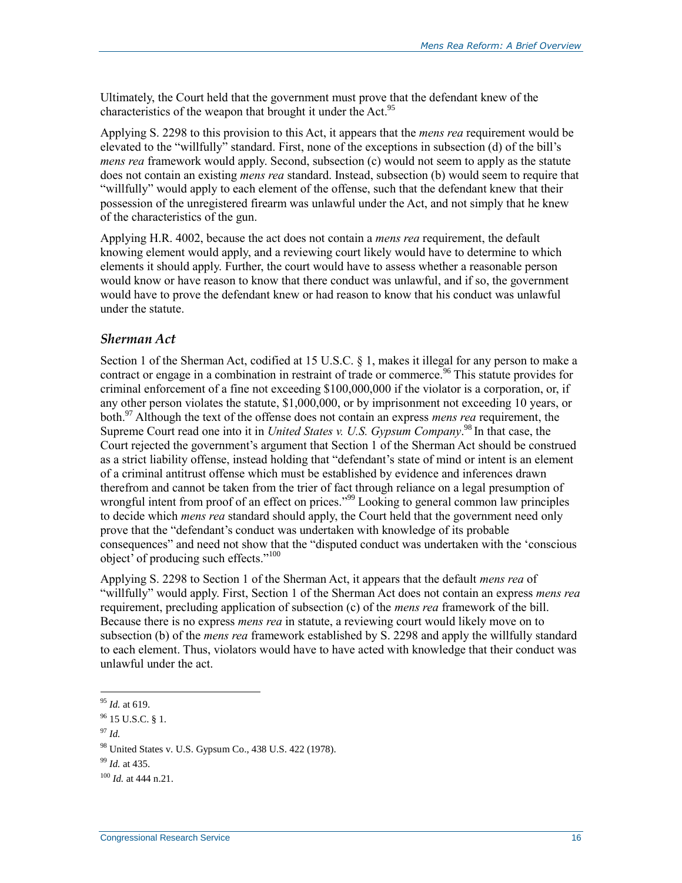Ultimately, the Court held that the government must prove that the defendant knew of the characteristics of the weapon that brought it under the Act.<sup>95</sup>

Applying S. 2298 to this provision to this Act, it appears that the *mens rea* requirement would be elevated to the "willfully" standard. First, none of the exceptions in subsection (d) of the bill's *mens rea* framework would apply. Second, subsection (c) would not seem to apply as the statute does not contain an existing *mens rea* standard. Instead, subsection (b) would seem to require that "willfully" would apply to each element of the offense, such that the defendant knew that their possession of the unregistered firearm was unlawful under the Act, and not simply that he knew of the characteristics of the gun.

Applying H.R. 4002, because the act does not contain a *mens rea* requirement, the default knowing element would apply, and a reviewing court likely would have to determine to which elements it should apply. Further, the court would have to assess whether a reasonable person would know or have reason to know that there conduct was unlawful, and if so, the government would have to prove the defendant knew or had reason to know that his conduct was unlawful under the statute.

#### *Sherman Act*

Section 1 of the Sherman Act, codified at 15 U.S.C. § 1, makes it illegal for any person to make a contract or engage in a combination in restraint of trade or commerce.<sup>96</sup> This statute provides for criminal enforcement of a fine not exceeding \$100,000,000 if the violator is a corporation, or, if any other person violates the statute, \$1,000,000, or by imprisonment not exceeding 10 years, or both.<sup>97</sup> Although the text of the offense does not contain an express *mens rea* requirement, the Supreme Court read one into it in *United States v. U.S. Gypsum Company*. <sup>98</sup> In that case, the Court rejected the government's argument that Section 1 of the Sherman Act should be construed as a strict liability offense, instead holding that "defendant's state of mind or intent is an element of a criminal antitrust offense which must be established by evidence and inferences drawn therefrom and cannot be taken from the trier of fact through reliance on a legal presumption of wrongful intent from proof of an effect on prices."<sup>99</sup> Looking to general common law principles to decide which *mens rea* standard should apply, the Court held that the government need only prove that the "defendant's conduct was undertaken with knowledge of its probable consequences" and need not show that the "disputed conduct was undertaken with the 'conscious object' of producing such effects."<sup>100</sup>

Applying S. 2298 to Section 1 of the Sherman Act, it appears that the default *mens rea* of "willfully" would apply. First, Section 1 of the Sherman Act does not contain an express *mens rea*  requirement, precluding application of subsection (c) of the *mens rea* framework of the bill. Because there is no express *mens rea* in statute, a reviewing court would likely move on to subsection (b) of the *mens rea* framework established by S. 2298 and apply the willfully standard to each element. Thus, violators would have to have acted with knowledge that their conduct was unlawful under the act.

 $\overline{a}$ <sup>95</sup> *Id.* at 619.

 $96$  15 U.S.C. § 1.

<sup>97</sup> *Id.*

<sup>98</sup> United States v. U.S. Gypsum Co., 438 U.S. 422 (1978).

<sup>99</sup> *Id.* at 435.

<sup>100</sup> *Id.* at 444 n.21.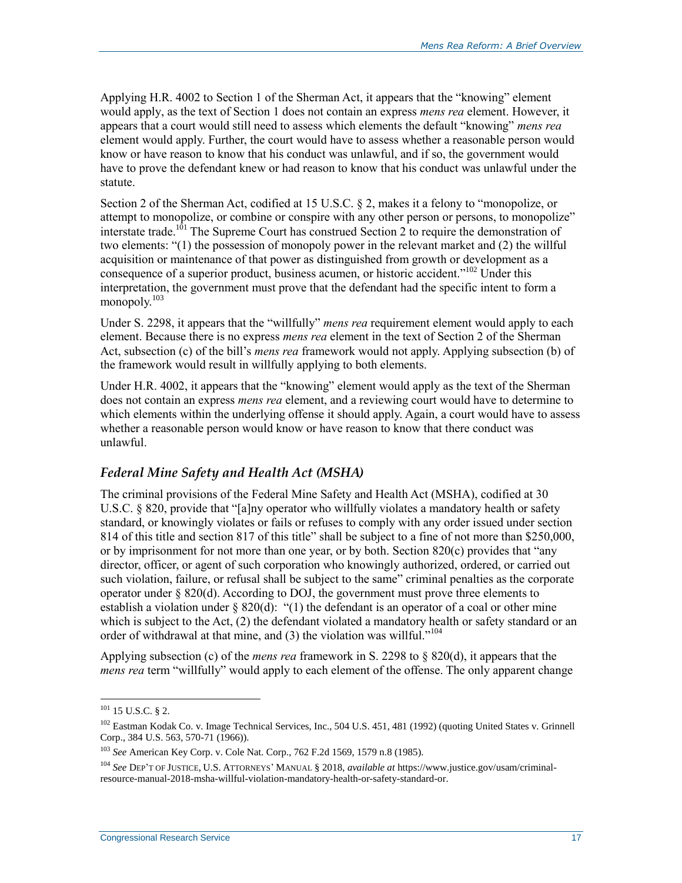Applying H.R. 4002 to Section 1 of the Sherman Act, it appears that the "knowing" element would apply, as the text of Section 1 does not contain an express *mens rea* element. However, it appears that a court would still need to assess which elements the default "knowing" *mens rea* element would apply. Further, the court would have to assess whether a reasonable person would know or have reason to know that his conduct was unlawful, and if so, the government would have to prove the defendant knew or had reason to know that his conduct was unlawful under the statute.

Section 2 of the Sherman Act, codified at 15 U.S.C. § 2, makes it a felony to "monopolize, or attempt to monopolize, or combine or conspire with any other person or persons, to monopolize" interstate trade.<sup>101</sup> The Supreme Court has construed Section 2 to require the demonstration of two elements: "(1) the possession of monopoly power in the relevant market and (2) the willful acquisition or maintenance of that power as distinguished from growth or development as a consequence of a superior product, business acumen, or historic accident."<sup>102</sup> Under this interpretation, the government must prove that the defendant had the specific intent to form a monopoly.<sup>103</sup>

Under S. 2298, it appears that the "willfully" *mens rea* requirement element would apply to each element. Because there is no express *mens rea* element in the text of Section 2 of the Sherman Act, subsection (c) of the bill's *mens rea* framework would not apply. Applying subsection (b) of the framework would result in willfully applying to both elements.

Under H.R. 4002, it appears that the "knowing" element would apply as the text of the Sherman does not contain an express *mens rea* element, and a reviewing court would have to determine to which elements within the underlying offense it should apply. Again, a court would have to assess whether a reasonable person would know or have reason to know that there conduct was unlawful.

### *Federal Mine Safety and Health Act (MSHA)*

The criminal provisions of the Federal Mine Safety and Health Act (MSHA), codified at 30 U.S.C. § 820, provide that "[a]ny operator who willfully violates a mandatory health or safety standard, or knowingly violates or fails or refuses to comply with any order issued under section 814 of this title and section 817 of this title" shall be subject to a fine of not more than \$250,000, or by imprisonment for not more than one year, or by both. Section 820(c) provides that "any director, officer, or agent of such corporation who knowingly authorized, ordered, or carried out such violation, failure, or refusal shall be subject to the same" criminal penalties as the corporate operator under § 820(d). According to DOJ, the government must prove three elements to establish a violation under § 820(d): "(1) the defendant is an operator of a coal or other mine which is subject to the Act, (2) the defendant violated a mandatory health or safety standard or an order of withdrawal at that mine, and  $(3)$  the violation was willful."<sup>104</sup>

Applying subsection (c) of the *mens rea* framework in S. 2298 to § 820(d), it appears that the *mens rea* term "willfully" would apply to each element of the offense. The only apparent change

 $101$  15 U.S.C. § 2.

<sup>&</sup>lt;sup>102</sup> Eastman Kodak Co. v. Image Technical Services, Inc., 504 U.S. 451, 481 (1992) (quoting United States v. Grinnell Corp., 384 U.S. 563, 570-71 (1966)).

<sup>103</sup> *See* American Key Corp. v. Cole Nat. Corp., 762 F.2d 1569, 1579 n.8 (1985).

<sup>104</sup> *See* DEP'T OF JUSTICE, U.S. ATTORNEYS' MANUAL § 2018, *available at* https://www.justice.gov/usam/criminalresource-manual-2018-msha-willful-violation-mandatory-health-or-safety-standard-or.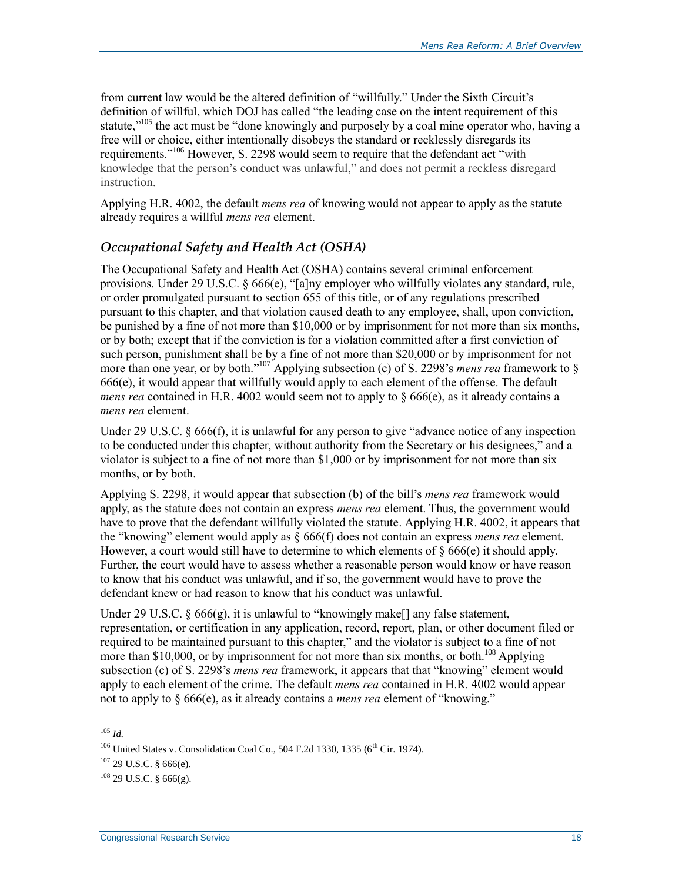from current law would be the altered definition of "willfully." Under the Sixth Circuit's definition of willful, which DOJ has called "the leading case on the intent requirement of this statute,"<sup>105</sup> the act must be "done knowingly and purposely by a coal mine operator who, having a free will or choice, either intentionally disobeys the standard or recklessly disregards its requirements."<sup>106</sup> However, S. 2298 would seem to require that the defendant act "with knowledge that the person's conduct was unlawful," and does not permit a reckless disregard instruction.

Applying H.R. 4002, the default *mens rea* of knowing would not appear to apply as the statute already requires a willful *mens rea* element.

#### *Occupational Safety and Health Act (OSHA)*

The Occupational Safety and Health Act (OSHA) contains several criminal enforcement provisions. Under 29 U.S.C. § 666(e), "[a]ny employer who willfully violates any standard, rule, or order promulgated pursuant to section 655 of this title, or of any regulations prescribed pursuant to this chapter, and that violation caused death to any employee, shall, upon conviction, be punished by a fine of not more than \$10,000 or by imprisonment for not more than six months, or by both; except that if the conviction is for a violation committed after a first conviction of such person, punishment shall be by a fine of not more than \$20,000 or by imprisonment for not more than one year, or by both."<sup>107</sup> Applying subsection (c) of S. 2298's *mens rea* framework to § 666(e), it would appear that willfully would apply to each element of the offense. The default *mens rea* contained in H.R. 4002 would seem not to apply to  $\S$  666(e), as it already contains a *mens rea* element.

Under 29 U.S.C. § 666(f), it is unlawful for any person to give "advance notice of any inspection to be conducted under this chapter, without authority from the Secretary or his designees," and a violator is subject to a fine of not more than \$1,000 or by imprisonment for not more than six months, or by both.

Applying S. 2298, it would appear that subsection (b) of the bill's *mens rea* framework would apply, as the statute does not contain an express *mens rea* element. Thus, the government would have to prove that the defendant willfully violated the statute. Applying H.R. 4002, it appears that the "knowing" element would apply as § 666(f) does not contain an express *mens rea* element. However, a court would still have to determine to which elements of  $\S 666(e)$  it should apply. Further, the court would have to assess whether a reasonable person would know or have reason to know that his conduct was unlawful, and if so, the government would have to prove the defendant knew or had reason to know that his conduct was unlawful.

Under 29 U.S.C. § 666(g), it is unlawful to **"**knowingly make[] any false statement, representation, or certification in any application, record, report, plan, or other document filed or required to be maintained pursuant to this chapter," and the violator is subject to a fine of not more than \$10,000, or by imprisonment for not more than six months, or both.<sup>108</sup> Applying subsection (c) of S. 2298's *mens rea* framework, it appears that that "knowing" element would apply to each element of the crime. The default *mens rea* contained in H.R. 4002 would appear not to apply to § 666(e), as it already contains a *mens rea* element of "knowing."

 $\overline{a}$ <sup>105</sup> *Id.*

 $106$  United States v. Consolidation Coal Co., 504 F.2d 1330, 1335 ( $6^{th}$  Cir. 1974).

 $107$  29 U.S.C. § 666(e).

 $108$  29 U.S.C. § 666(g).